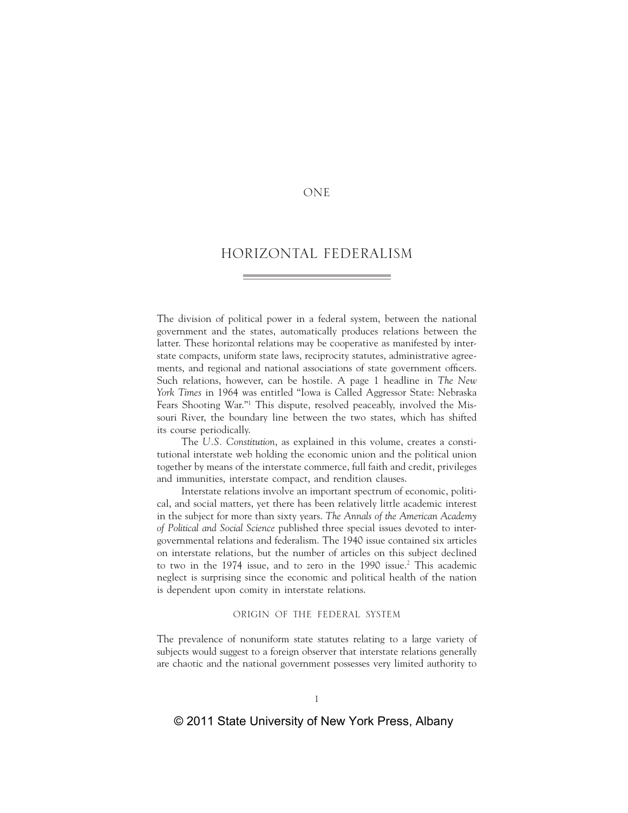# **ONE**

# HORIZONTAL FEDERALISM

The division of political power in a federal system, between the national government and the states, automatically produces relations between the latter. These horizontal relations may be cooperative as manifested by interstate compacts, uniform state laws, reciprocity statutes, administrative agreements, and regional and national associations of state government officers. Such relations, however, can be hostile. A page 1 headline in *The New York Times* in 1964 was entitled "Iowa is Called Aggressor State: Nebraska Fears Shooting War."1 This dispute, resolved peaceably, involved the Missouri River, the boundary line between the two states, which has shifted its course periodically.

The *U.S. Constitution*, as explained in this volume, creates a constitutional interstate web holding the economic union and the political union together by means of the interstate commerce, full faith and credit, privileges and immunities, interstate compact, and rendition clauses.

Interstate relations involve an important spectrum of economic, political, and social matters, yet there has been relatively little academic interest in the subject for more than sixty years. *The Annals of the American Academy of Political and Social Science* published three special issues devoted to intergovernmental relations and federalism. The 1940 issue contained six articles on interstate relations, but the number of articles on this subject declined to two in the 1974 issue, and to zero in the 1990 issue.<sup>2</sup> This academic neglect is surprising since the economic and political health of the nation is dependent upon comity in interstate relations.

## ORIGIN OF THE FEDERAL SYSTEM

The prevalence of nonuniform state statutes relating to a large variety of subjects would suggest to a foreign observer that interstate relations generally are chaotic and the national government possesses very limited authority to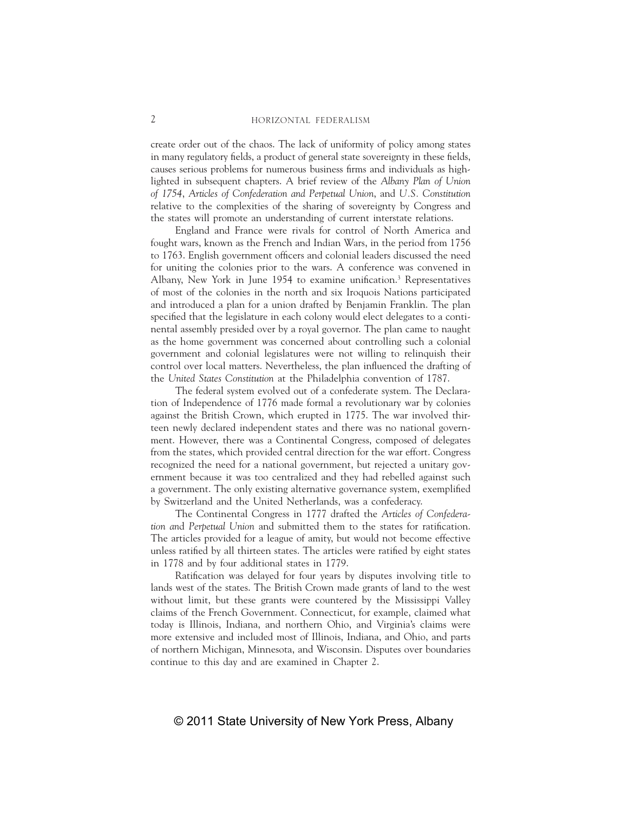create order out of the chaos. The lack of uniformity of policy among states in many regulatory fields, a product of general state sovereignty in these fields, causes serious problems for numerous business firms and individuals as highlighted in subsequent chapters. A brief review of the *Albany Plan of Union of 1754*, *Articles of Confederation and Perpetual Union*, and *U.S. Constitution* relative to the complexities of the sharing of sovereignty by Congress and the states will promote an understanding of current interstate relations.

England and France were rivals for control of North America and fought wars, known as the French and Indian Wars, in the period from 1756 to 1763. English government officers and colonial leaders discussed the need for uniting the colonies prior to the wars. A conference was convened in Albany, New York in June 1954 to examine unification.<sup>3</sup> Representatives of most of the colonies in the north and six Iroquois Nations participated and introduced a plan for a union drafted by Benjamin Franklin. The plan specified that the legislature in each colony would elect delegates to a continental assembly presided over by a royal governor. The plan came to naught as the home government was concerned about controlling such a colonial government and colonial legislatures were not willing to relinquish their control over local matters. Nevertheless, the plan influenced the drafting of the *United States Constitution* at the Philadelphia convention of 1787.

The federal system evolved out of a confederate system. The Declaration of Independence of 1776 made formal a revolutionary war by colonies against the British Crown, which erupted in 1775. The war involved thirteen newly declared independent states and there was no national government. However, there was a Continental Congress, composed of delegates from the states, which provided central direction for the war effort. Congress recognized the need for a national government, but rejected a unitary government because it was too centralized and they had rebelled against such a government. The only existing alternative governance system, exemplified by Switzerland and the United Netherlands, was a confederacy.

The Continental Congress in 1777 drafted the *Articles of Confederation and Perpetual Union* and submitted them to the states for ratification. The articles provided for a league of amity, but would not become effective unless ratified by all thirteen states. The articles were ratified by eight states in 1778 and by four additional states in 1779.

Ratification was delayed for four years by disputes involving title to lands west of the states. The British Crown made grants of land to the west without limit, but these grants were countered by the Mississippi Valley claims of the French Government. Connecticut, for example, claimed what today is Illinois, Indiana, and northern Ohio, and Virginia's claims were more extensive and included most of Illinois, Indiana, and Ohio, and parts of northern Michigan, Minnesota, and Wisconsin. Disputes over boundaries continue to this day and are examined in Chapter 2.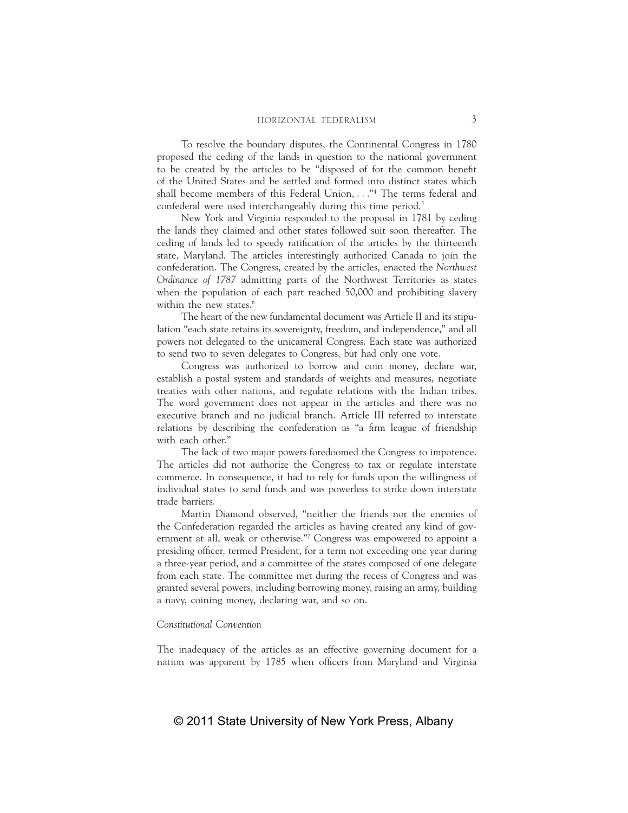To resolve the boundary disputes, the Continental Congress in 1780 proposed the ceding of the lands in question to the national government to be created by the articles to be "disposed of for the common benefit of the United States and be settled and formed into distinct states which shall become members of this Federal Union, . . ."4 The terms federal and confederal were used interchangeably during this time period.<sup>5</sup>

New York and Virginia responded to the proposal in 1781 by ceding the lands they claimed and other states followed suit soon thereafter. The ceding of lands led to speedy ratification of the articles by the thirteenth state, Maryland. The articles interestingly authorized Canada to join the confederation. The Congress, created by the articles, enacted the *Northwest Ordinance of 1787* admitting parts of the Northwest Territories as states when the population of each part reached 50,000 and prohibiting slavery within the new states.<sup>6</sup>

The heart of the new fundamental document was Article II and its stipulation "each state retains its sovereignty, freedom, and independence," and all powers not delegated to the unicameral Congress. Each state was authorized to send two to seven delegates to Congress, but had only one vote.

Congress was authorized to borrow and coin money, declare war, establish a postal system and standards of weights and measures, negotiate treaties with other nations, and regulate relations with the Indian tribes. The word government does not appear in the articles and there was no executive branch and no judicial branch. Article III referred to interstate relations by describing the confederation as "a firm league of friendship with each other."

The lack of two major powers foredoomed the Congress to impotence. The articles did not authorize the Congress to tax or regulate interstate commerce. In consequence, it had to rely for funds upon the willingness of individual states to send funds and was powerless to strike down interstate trade barriers.

Martin Diamond observed, "neither the friends nor the enemies of the Confederation regarded the articles as having created any kind of government at all, weak or otherwise."7 Congress was empowered to appoint a presiding officer, termed President, for a term not exceeding one year during a three-year period, and a committee of the states composed of one delegate from each state. The committee met during the recess of Congress and was granted several powers, including borrowing money, raising an army, building a navy, coining money, declaring war, and so on.

## *Constitutional Convention*

The inadequacy of the articles as an effective governing document for a nation was apparent by 1785 when officers from Maryland and Virginia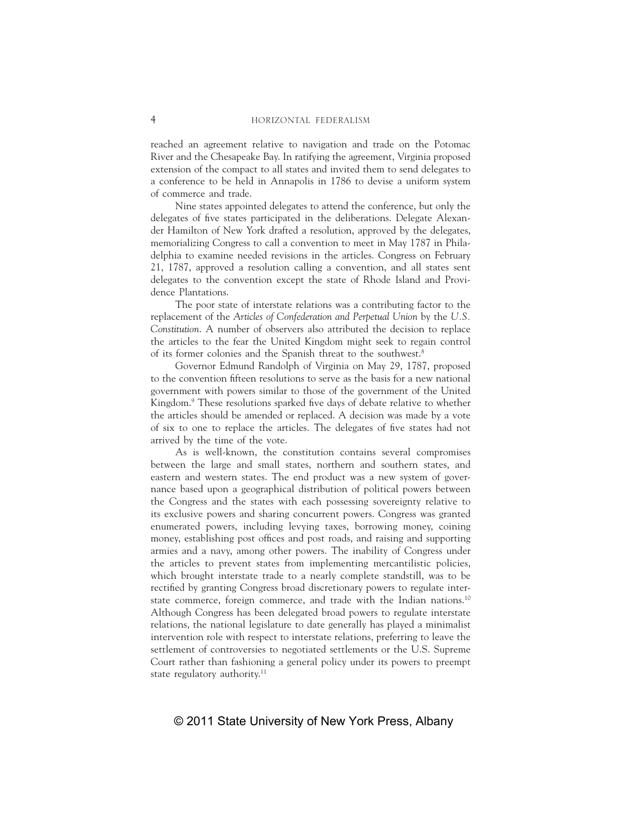reached an agreement relative to navigation and trade on the Potomac River and the Chesapeake Bay. In ratifying the agreement, Virginia proposed extension of the compact to all states and invited them to send delegates to a conference to be held in Annapolis in 1786 to devise a uniform system of commerce and trade.

Nine states appointed delegates to attend the conference, but only the delegates of five states participated in the deliberations. Delegate Alexander Hamilton of New York drafted a resolution, approved by the delegates, memorializing Congress to call a convention to meet in May 1787 in Philadelphia to examine needed revisions in the articles. Congress on February 21, 1787, approved a resolution calling a convention, and all states sent delegates to the convention except the state of Rhode Island and Providence Plantations.

The poor state of interstate relations was a contributing factor to the replacement of the *Articles of Confederation and Perpetual Union* by the *U.S. Constitution*. A number of observers also attributed the decision to replace the articles to the fear the United Kingdom might seek to regain control of its former colonies and the Spanish threat to the southwest.8

Governor Edmund Randolph of Virginia on May 29, 1787, proposed to the convention fifteen resolutions to serve as the basis for a new national government with powers similar to those of the government of the United Kingdom.<sup>9</sup> These resolutions sparked five days of debate relative to whether the articles should be amended or replaced. A decision was made by a vote of six to one to replace the articles. The delegates of five states had not arrived by the time of the vote.

As is well-known, the constitution contains several compromises between the large and small states, northern and southern states, and eastern and western states. The end product was a new system of governance based upon a geographical distribution of political powers between the Congress and the states with each possessing sovereignty relative to its exclusive powers and sharing concurrent powers. Congress was granted enumerated powers, including levying taxes, borrowing money, coining money, establishing post offices and post roads, and raising and supporting armies and a navy, among other powers. The inability of Congress under the articles to prevent states from implementing mercantilistic policies, which brought interstate trade to a nearly complete standstill, was to be rectified by granting Congress broad discretionary powers to regulate interstate commerce, foreign commerce, and trade with the Indian nations.<sup>10</sup> Although Congress has been delegated broad powers to regulate interstate relations, the national legislature to date generally has played a minimalist intervention role with respect to interstate relations, preferring to leave the settlement of controversies to negotiated settlements or the U.S. Supreme Court rather than fashioning a general policy under its powers to preempt state regulatory authority.<sup>11</sup>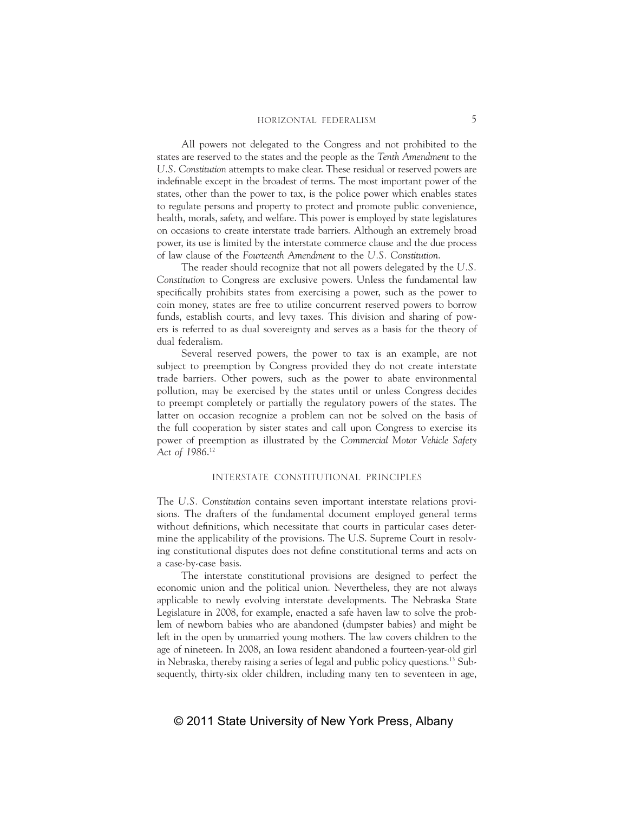All powers not delegated to the Congress and not prohibited to the states are reserved to the states and the people as the *Tenth Amendment* to the *U.S. Constitution* attempts to make clear. These residual or reserved powers are indefinable except in the broadest of terms. The most important power of the states, other than the power to tax, is the police power which enables states to regulate persons and property to protect and promote public convenience, health, morals, safety, and welfare. This power is employed by state legislatures on occasions to create interstate trade barriers. Although an extremely broad power, its use is limited by the interstate commerce clause and the due process of law clause of the *Fourteenth Amendment* to the *U.S. Constitution*.

The reader should recognize that not all powers delegated by the *U.S. Constitution* to Congress are exclusive powers. Unless the fundamental law specifically prohibits states from exercising a power, such as the power to coin money, states are free to utilize concurrent reserved powers to borrow funds, establish courts, and levy taxes. This division and sharing of powers is referred to as dual sovereignty and serves as a basis for the theory of dual federalism.

Several reserved powers, the power to tax is an example, are not subject to preemption by Congress provided they do not create interstate trade barriers. Other powers, such as the power to abate environmental pollution, may be exercised by the states until or unless Congress decides to preempt completely or partially the regulatory powers of the states. The latter on occasion recognize a problem can not be solved on the basis of the full cooperation by sister states and call upon Congress to exercise its power of preemption as illustrated by the *Commercial Motor Vehicle Safety Act of 1986*. 12

## INTERSTATE CONSTITUTIONAL PRINCIPLES

The *U.S. Constitution* contains seven important interstate relations provisions. The drafters of the fundamental document employed general terms without definitions, which necessitate that courts in particular cases determine the applicability of the provisions. The U.S. Supreme Court in resolving constitutional disputes does not define constitutional terms and acts on a case-by-case basis.

The interstate constitutional provisions are designed to perfect the economic union and the political union. Nevertheless, they are not always applicable to newly evolving interstate developments. The Nebraska State Legislature in 2008, for example, enacted a safe haven law to solve the problem of newborn babies who are abandoned (dumpster babies) and might be left in the open by unmarried young mothers. The law covers children to the age of nineteen. In 2008, an Iowa resident abandoned a fourteen-year-old girl in Nebraska, thereby raising a series of legal and public policy questions.13 Subsequently, thirty-six older children, including many ten to seventeen in age,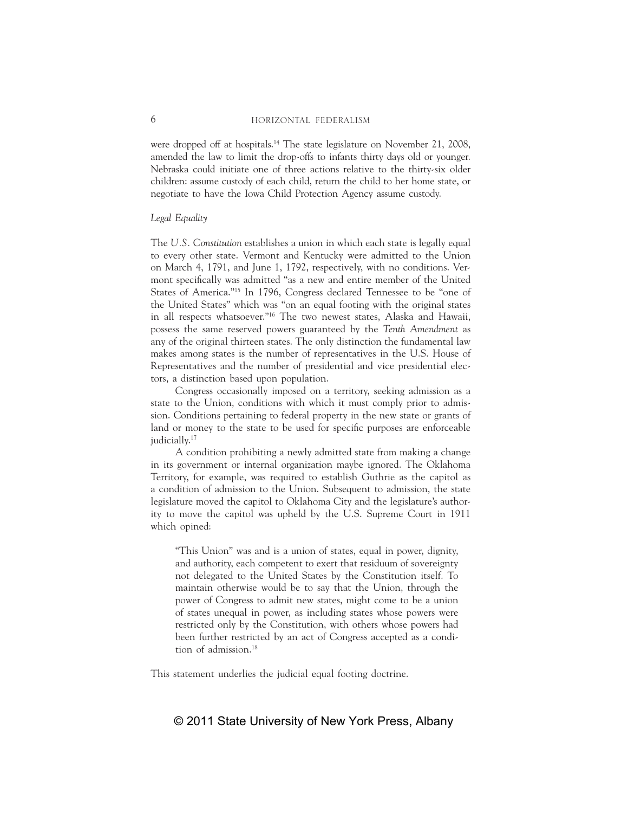## 6 HORIZONTAL FEDERALISM

were dropped off at hospitals.<sup>14</sup> The state legislature on November 21, 2008, amended the law to limit the drop-offs to infants thirty days old or younger. Nebraska could initiate one of three actions relative to the thirty-six older children: assume custody of each child, return the child to her home state, or negotiate to have the Iowa Child Protection Agency assume custody.

### *Legal Equality*

The *U.S. Constitution* establishes a union in which each state is legally equal to every other state. Vermont and Kentucky were admitted to the Union on March 4, 1791, and June 1, 1792, respectively, with no conditions. Vermont specifically was admitted "as a new and entire member of the United States of America."15 In 1796, Congress declared Tennessee to be "one of the United States" which was "on an equal footing with the original states in all respects whatsoever."16 The two newest states, Alaska and Hawaii, possess the same reserved powers guaranteed by the *Tenth Amendment* as any of the original thirteen states. The only distinction the fundamental law makes among states is the number of representatives in the U.S. House of Representatives and the number of presidential and vice presidential electors, a distinction based upon population.

Congress occasionally imposed on a territory, seeking admission as a state to the Union, conditions with which it must comply prior to admission. Conditions pertaining to federal property in the new state or grants of land or money to the state to be used for specific purposes are enforceable judicially.<sup>17</sup>

A condition prohibiting a newly admitted state from making a change in its government or internal organization maybe ignored. The Oklahoma Territory, for example, was required to establish Guthrie as the capitol as a condition of admission to the Union. Subsequent to admission, the state legislature moved the capitol to Oklahoma City and the legislature's authority to move the capitol was upheld by the U.S. Supreme Court in 1911 which opined:

"This Union" was and is a union of states, equal in power, dignity, and authority, each competent to exert that residuum of sovereignty not delegated to the United States by the Constitution itself. To maintain otherwise would be to say that the Union, through the power of Congress to admit new states, might come to be a union of states unequal in power, as including states whose powers were restricted only by the Constitution, with others whose powers had been further restricted by an act of Congress accepted as a condition of admission.18

This statement underlies the judicial equal footing doctrine.

# © 2011 State University of New York Press, Albany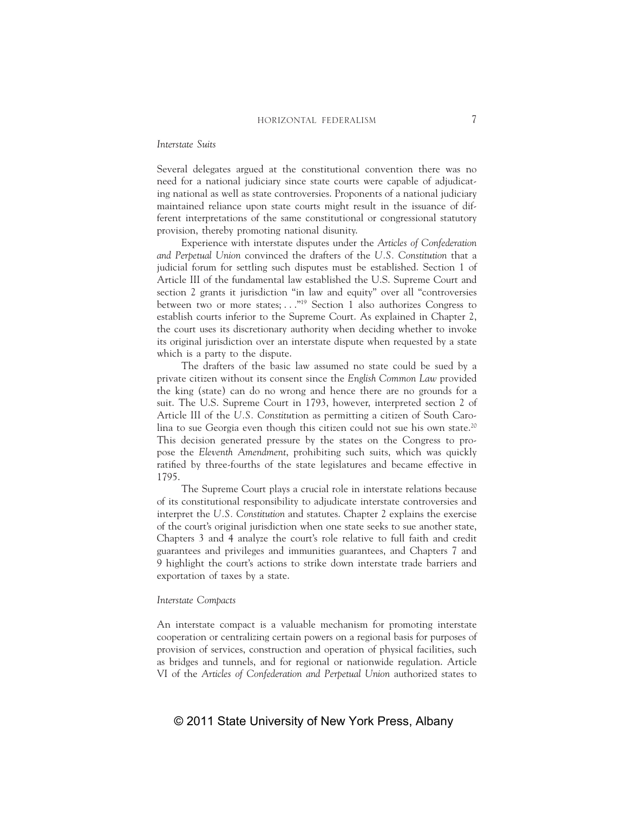## *Interstate Suits*

Several delegates argued at the constitutional convention there was no need for a national judiciary since state courts were capable of adjudicating national as well as state controversies. Proponents of a national judiciary maintained reliance upon state courts might result in the issuance of different interpretations of the same constitutional or congressional statutory provision, thereby promoting national disunity.

Experience with interstate disputes under the *Articles of Confederation and Perpetual Union* convinced the drafters of the *U.S. Constitution* that a judicial forum for settling such disputes must be established. Section 1 of Article III of the fundamental law established the U.S. Supreme Court and section 2 grants it jurisdiction "in law and equity" over all "controversies between two or more states; . . ."19 Section 1 also authorizes Congress to establish courts inferior to the Supreme Court. As explained in Chapter 2, the court uses its discretionary authority when deciding whether to invoke its original jurisdiction over an interstate dispute when requested by a state which is a party to the dispute.

The drafters of the basic law assumed no state could be sued by a private citizen without its consent since the *English Common Law* provided the king (state) can do no wrong and hence there are no grounds for a suit. The U.S. Supreme Court in 1793, however, interpreted section 2 of Article III of the *U.S. Constitu*tion as permitting a citizen of South Carolina to sue Georgia even though this citizen could not sue his own state.<sup>20</sup> This decision generated pressure by the states on the Congress to propose the *Eleventh Amendment*, prohibiting such suits, which was quickly ratified by three-fourths of the state legislatures and became effective in 1795.

The Supreme Court plays a crucial role in interstate relations because of its constitutional responsibility to adjudicate interstate controversies and interpret the *U.S. Constitution* and statutes. Chapter 2 explains the exercise of the court's original jurisdiction when one state seeks to sue another state, Chapters 3 and 4 analyze the court's role relative to full faith and credit guarantees and privileges and immunities guarantees, and Chapters 7 and 9 highlight the court's actions to strike down interstate trade barriers and exportation of taxes by a state.

# *Interstate Compacts*

An interstate compact is a valuable mechanism for promoting interstate cooperation or centralizing certain powers on a regional basis for purposes of provision of services, construction and operation of physical facilities, such as bridges and tunnels, and for regional or nationwide regulation. Article VI of the *Articles of Confederation and Perpetual Union* authorized states to

# © 2011 State University of New York Press, Albany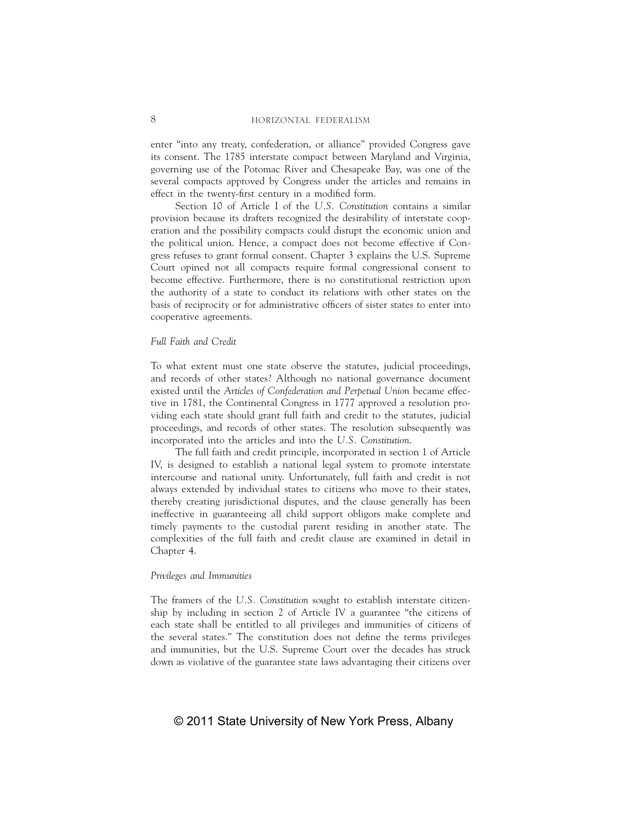enter "into any treaty, confederation, or alliance" provided Congress gave its consent. The 1785 interstate compact between Maryland and Virginia, governing use of the Potomac River and Chesapeake Bay, was one of the several compacts approved by Congress under the articles and remains in effect in the twenty-first century in a modified form.

Section 10 of Article I of the *U.S. Constitution* contains a similar provision because its drafters recognized the desirability of interstate cooperation and the possibility compacts could disrupt the economic union and the political union. Hence, a compact does not become effective if Congress refuses to grant formal consent. Chapter 3 explains the U.S. Supreme Court opined not all compacts require formal congressional consent to become effective. Furthermore, there is no constitutional restriction upon the authority of a state to conduct its relations with other states on the basis of reciprocity or for administrative officers of sister states to enter into cooperative agreements.

## *Full Faith and Credit*

To what extent must one state observe the statutes, judicial proceedings, and records of other states? Although no national governance document existed until the *Articles of Confederation and Perpetual Union* became effective in 1781, the Continental Congress in 1777 approved a resolution providing each state should grant full faith and credit to the statutes, judicial proceedings, and records of other states. The resolution subsequently was incorporated into the articles and into the *U.S. Constitution*.

The full faith and credit principle, incorporated in section 1 of Article IV, is designed to establish a national legal system to promote interstate intercourse and national unity. Unfortunately, full faith and credit is not always extended by individual states to citizens who move to their states, thereby creating jurisdictional disputes, and the clause generally has been ineffective in guaranteeing all child support obligors make complete and timely payments to the custodial parent residing in another state. The complexities of the full faith and credit clause are examined in detail in Chapter 4.

## *Privileges and Immunities*

The framers of the *U.S. Constitution* sought to establish interstate citizenship by including in section 2 of Article IV a guarantee "the citizens of each state shall be entitled to all privileges and immunities of citizens of the several states." The constitution does not define the terms privileges and immunities, but the U.S. Supreme Court over the decades has struck down as violative of the guarantee state laws advantaging their citizens over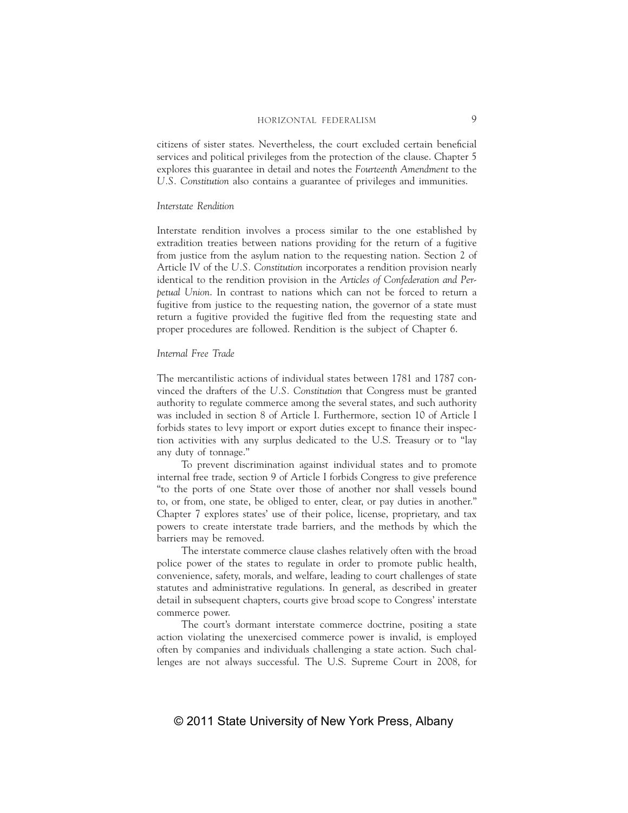# HORIZONTAL FEDERALISM 9

citizens of sister states. Nevertheless, the court excluded certain beneficial services and political privileges from the protection of the clause. Chapter 5 explores this guarantee in detail and notes the *Fourteenth Amendment* to the *U.S. Constitution* also contains a guarantee of privileges and immunities.

### *Interstate Rendition*

Interstate rendition involves a process similar to the one established by extradition treaties between nations providing for the return of a fugitive from justice from the asylum nation to the requesting nation. Section 2 of Article IV of the *U.S. Constitution* incorporates a rendition provision nearly identical to the rendition provision in the *Articles of Confederation and Perpetual Union*. In contrast to nations which can not be forced to return a fugitive from justice to the requesting nation, the governor of a state must return a fugitive provided the fugitive fled from the requesting state and proper procedures are followed. Rendition is the subject of Chapter 6.

# *Internal Free Trade*

The mercantilistic actions of individual states between 1781 and 1787 convinced the drafters of the *U.S. Constitution* that Congress must be granted authority to regulate commerce among the several states, and such authority was included in section 8 of Article I. Furthermore, section 10 of Article I forbids states to levy import or export duties except to finance their inspection activities with any surplus dedicated to the U.S. Treasury or to "lay any duty of tonnage."

To prevent discrimination against individual states and to promote internal free trade, section 9 of Article I forbids Congress to give preference "to the ports of one State over those of another nor shall vessels bound to, or from, one state, be obliged to enter, clear, or pay duties in another." Chapter 7 explores states' use of their police, license, proprietary, and tax powers to create interstate trade barriers, and the methods by which the barriers may be removed.

The interstate commerce clause clashes relatively often with the broad police power of the states to regulate in order to promote public health, convenience, safety, morals, and welfare, leading to court challenges of state statutes and administrative regulations. In general, as described in greater detail in subsequent chapters, courts give broad scope to Congress' interstate commerce power.

The court's dormant interstate commerce doctrine, positing a state action violating the unexercised commerce power is invalid, is employed often by companies and individuals challenging a state action. Such challenges are not always successful. The U.S. Supreme Court in 2008, for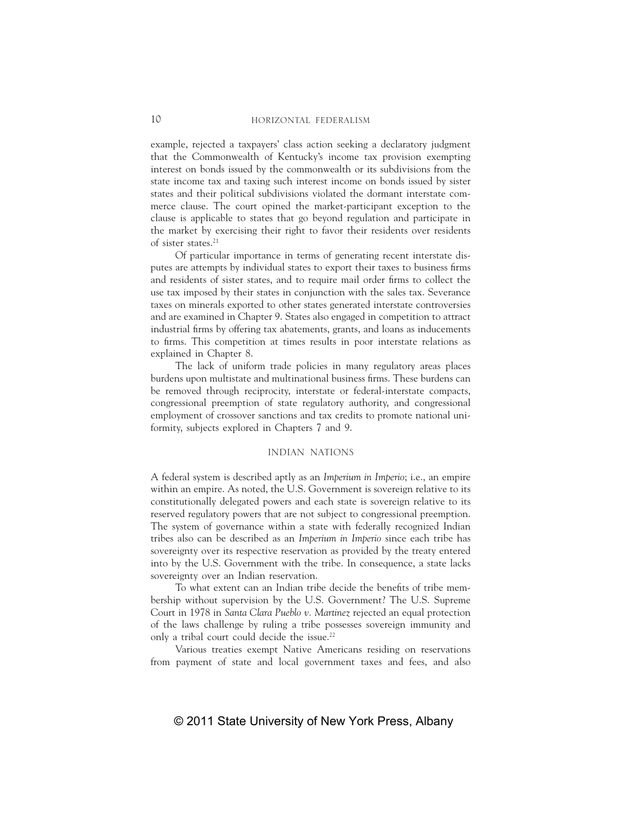example, rejected a taxpayers' class action seeking a declaratory judgment that the Commonwealth of Kentucky's income tax provision exempting interest on bonds issued by the commonwealth or its subdivisions from the state income tax and taxing such interest income on bonds issued by sister states and their political subdivisions violated the dormant interstate commerce clause. The court opined the market-participant exception to the clause is applicable to states that go beyond regulation and participate in the market by exercising their right to favor their residents over residents of sister states.21

Of particular importance in terms of generating recent interstate disputes are attempts by individual states to export their taxes to business firms and residents of sister states, and to require mail order firms to collect the use tax imposed by their states in conjunction with the sales tax. Severance taxes on minerals exported to other states generated interstate controversies and are examined in Chapter 9. States also engaged in competition to attract industrial firms by offering tax abatements, grants, and loans as inducements to firms. This competition at times results in poor interstate relations as explained in Chapter 8.

The lack of uniform trade policies in many regulatory areas places burdens upon multistate and multinational business firms. These burdens can be removed through reciprocity, interstate or federal-interstate compacts, congressional preemption of state regulatory authority, and congressional employment of crossover sanctions and tax credits to promote national uniformity, subjects explored in Chapters 7 and 9.

# INDIAN NATIONS

A federal system is described aptly as an *Imperium in Imperio*; i.e., an empire within an empire. As noted, the U.S. Government is sovereign relative to its constitutionally delegated powers and each state is sovereign relative to its reserved regulatory powers that are not subject to congressional preemption. The system of governance within a state with federally recognized Indian tribes also can be described as an *Imperium in Imperio* since each tribe has sovereignty over its respective reservation as provided by the treaty entered into by the U.S. Government with the tribe. In consequence, a state lacks sovereignty over an Indian reservation.

To what extent can an Indian tribe decide the benefits of tribe membership without supervision by the U.S. Government? The U.S. Supreme Court in 1978 in *Santa Clara Pueblo v. Martinez* rejected an equal protection of the laws challenge by ruling a tribe possesses sovereign immunity and only a tribal court could decide the issue.<sup>22</sup>

Various treaties exempt Native Americans residing on reservations from payment of state and local government taxes and fees, and also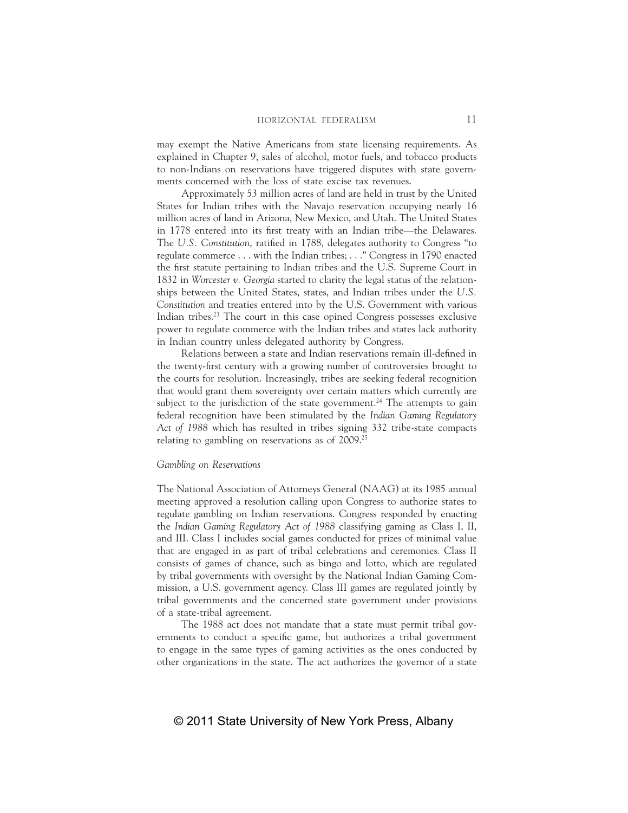may exempt the Native Americans from state licensing requirements. As explained in Chapter 9, sales of alcohol, motor fuels, and tobacco products to non-Indians on reservations have triggered disputes with state governments concerned with the loss of state excise tax revenues.

Approximately 53 million acres of land are held in trust by the United States for Indian tribes with the Navajo reservation occupying nearly 16 million acres of land in Arizona, New Mexico, and Utah. The United States in 1778 entered into its first treaty with an Indian tribe—the Delawares. The U.S. Constitution, ratified in 1788, delegates authority to Congress "to regulate commerce . . . with the Indian tribes; . . ." Congress in 1790 enacted the first statute pertaining to Indian tribes and the U.S. Supreme Court in 1832 in *Worcester v. Georgia* started to clarity the legal status of the relationships between the United States, states, and Indian tribes under the *U.S. Constitution* and treaties entered into by the U.S. Government with various Indian tribes.<sup>23</sup> The court in this case opined Congress possesses exclusive power to regulate commerce with the Indian tribes and states lack authority in Indian country unless delegated authority by Congress.

Relations between a state and Indian reservations remain ill-defined in the twenty-first century with a growing number of controversies brought to the courts for resolution. Increasingly, tribes are seeking federal recognition that would grant them sovereignty over certain matters which currently are subject to the jurisdiction of the state government.<sup>24</sup> The attempts to gain federal recognition have been stimulated by the *Indian Gaming Regulatory Act of 1988* which has resulted in tribes signing 332 tribe-state compacts relating to gambling on reservations as of 2009.25

## *Gambling on Reservations*

The National Association of Attorneys General (NAAG) at its 1985 annual meeting approved a resolution calling upon Congress to authorize states to regulate gambling on Indian reservations. Congress responded by enacting the *Indian Gaming Regulatory Act of 1988* classifying gaming as Class I, II, and III. Class I includes social games conducted for prizes of minimal value that are engaged in as part of tribal celebrations and ceremonies. Class II consists of games of chance, such as bingo and lotto, which are regulated by tribal governments with oversight by the National Indian Gaming Commission, a U.S. government agency. Class III games are regulated jointly by tribal governments and the concerned state government under provisions of a state-tribal agreement.

The 1988 act does not mandate that a state must permit tribal governments to conduct a specific game, but authorizes a tribal government to engage in the same types of gaming activities as the ones conducted by other organizations in the state. The act authorizes the governor of a state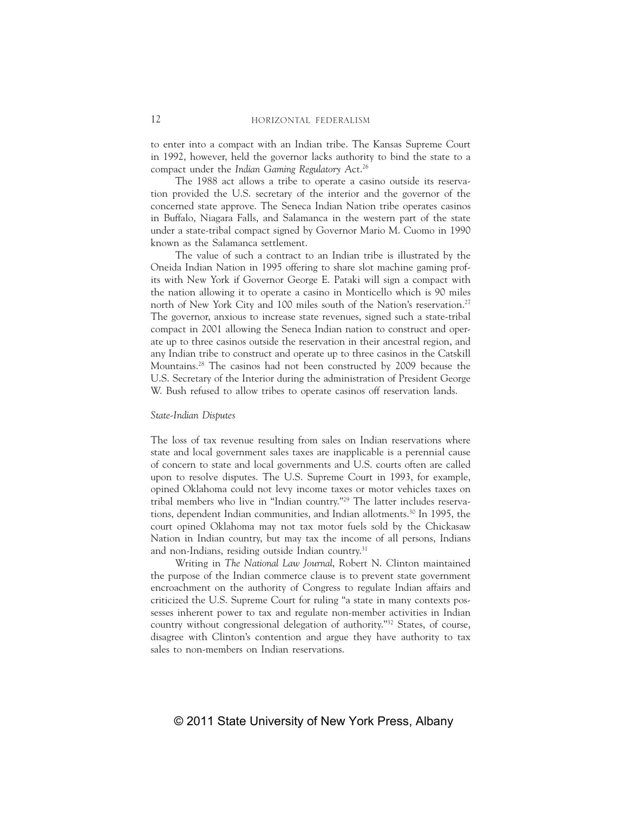to enter into a compact with an Indian tribe. The Kansas Supreme Court in 1992, however, held the governor lacks authority to bind the state to a compact under the *Indian Gaming Regulatory A*ct.26

The 1988 act allows a tribe to operate a casino outside its reservation provided the U.S. secretary of the interior and the governor of the concerned state approve. The Seneca Indian Nation tribe operates casinos in Buffalo, Niagara Falls, and Salamanca in the western part of the state under a state-tribal compact signed by Governor Mario M. Cuomo in 1990 known as the Salamanca settlement.

The value of such a contract to an Indian tribe is illustrated by the Oneida Indian Nation in 1995 offering to share slot machine gaming profits with New York if Governor George E. Pataki will sign a compact with the nation allowing it to operate a casino in Monticello which is 90 miles north of New York City and 100 miles south of the Nation's reservation.<sup>27</sup> The governor, anxious to increase state revenues, signed such a state-tribal compact in 2001 allowing the Seneca Indian nation to construct and operate up to three casinos outside the reservation in their ancestral region, and any Indian tribe to construct and operate up to three casinos in the Catskill Mountains.28 The casinos had not been constructed by 2009 because the U.S. Secretary of the Interior during the administration of President George W. Bush refused to allow tribes to operate casinos off reservation lands.

## *State-Indian Disputes*

The loss of tax revenue resulting from sales on Indian reservations where state and local government sales taxes are inapplicable is a perennial cause of concern to state and local governments and U.S. courts often are called upon to resolve disputes. The U.S. Supreme Court in 1993, for example, opined Oklahoma could not levy income taxes or motor vehicles taxes on tribal members who live in "Indian country."29 The latter includes reservations, dependent Indian communities, and Indian allotments.<sup>30</sup> In 1995, the court opined Oklahoma may not tax motor fuels sold by the Chickasaw Nation in Indian country, but may tax the income of all persons, Indians and non-Indians, residing outside Indian country.<sup>31</sup>

Writing in *The National Law Journal*, Robert N. Clinton maintained the purpose of the Indian commerce clause is to prevent state government encroachment on the authority of Congress to regulate Indian affairs and criticized the U.S. Supreme Court for ruling "a state in many contexts possesses inherent power to tax and regulate non-member activities in Indian country without congressional delegation of authority."32 States, of course, disagree with Clinton's contention and argue they have authority to tax sales to non-members on Indian reservations.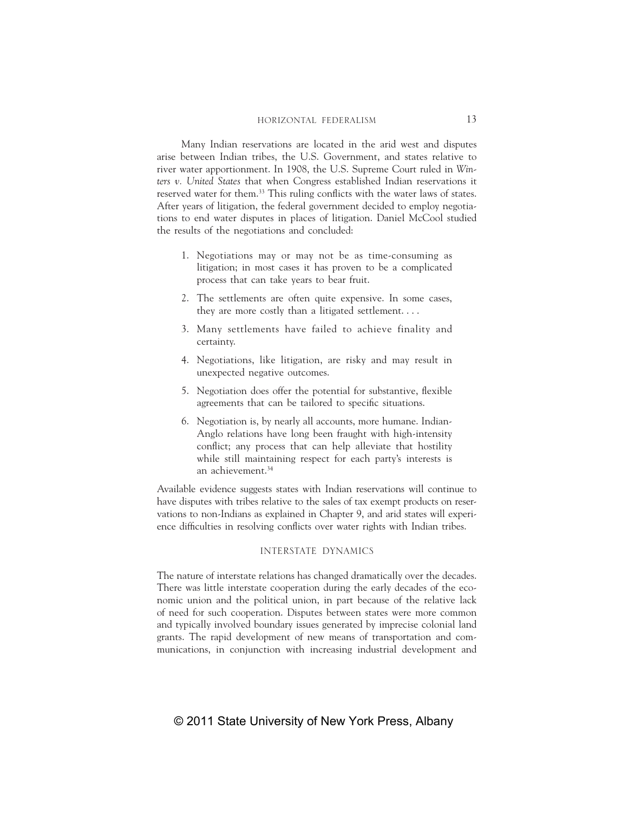Many Indian reservations are located in the arid west and disputes arise between Indian tribes, the U.S. Government, and states relative to river water apportionment. In 1908, the U.S. Supreme Court ruled in *Winters v. United States* that when Congress established Indian reservations it reserved water for them.<sup>33</sup> This ruling conflicts with the water laws of states. After years of litigation, the federal government decided to employ negotiations to end water disputes in places of litigation. Daniel McCool studied the results of the negotiations and concluded:

- 1. Negotiations may or may not be as time-consuming as litigation; in most cases it has proven to be a complicated process that can take years to bear fruit.
- 2. The settlements are often quite expensive. In some cases, they are more costly than a litigated settlement. . . .
- 3. Many settlements have failed to achieve finality and certainty.
- 4. Negotiations, like litigation, are risky and may result in unexpected negative outcomes.
- 5. Negotiation does offer the potential for substantive, flexible agreements that can be tailored to specific situations.
- 6. Negotiation is, by nearly all accounts, more humane. Indian-Anglo relations have long been fraught with high-intensity conflict; any process that can help alleviate that hostility while still maintaining respect for each party's interests is an achievement.34

Available evidence suggests states with Indian reservations will continue to have disputes with tribes relative to the sales of tax exempt products on reservations to non-Indians as explained in Chapter 9, and arid states will experience difficulties in resolving conflicts over water rights with Indian tribes.

## INTERSTATE DYNAMICS

The nature of interstate relations has changed dramatically over the decades. There was little interstate cooperation during the early decades of the economic union and the political union, in part because of the relative lack of need for such cooperation. Disputes between states were more common and typically involved boundary issues generated by imprecise colonial land grants. The rapid development of new means of transportation and communications, in conjunction with increasing industrial development and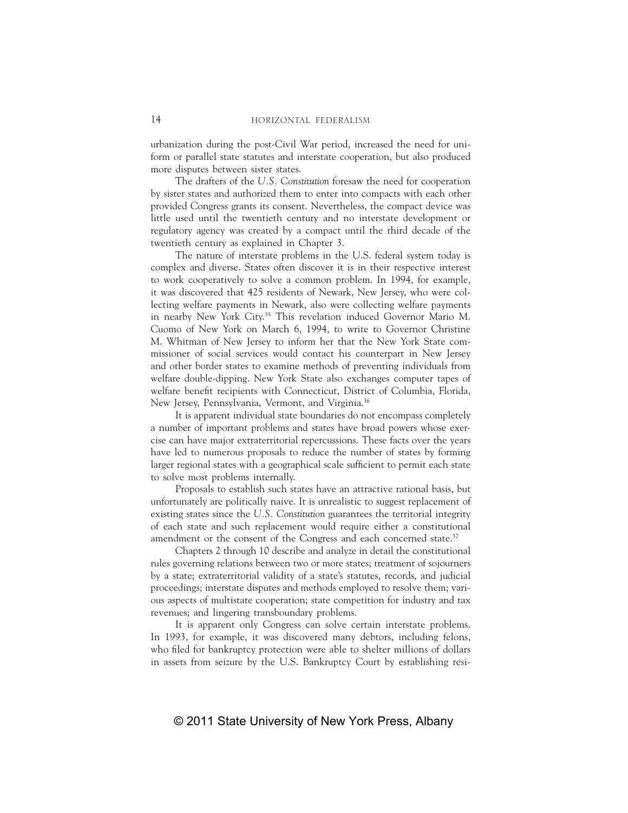urbanization during the post-Civil War period, increased the need for uniform or parallel state statutes and interstate cooperation, but also produced more disputes between sister states.

The drafters of the *U.S. Constitution* foresaw the need for cooperation by sister states and authorized them to enter into compacts with each other provided Congress grants its consent. Nevertheless, the compact device was little used until the twentieth century and no interstate development or regulatory agency was created by a compact until the third decade of the twentieth century as explained in Chapter 3.

The nature of interstate problems in the U.S. federal system today is complex and diverse. States often discover it is in their respective interest to work cooperatively to solve a common problem. In 1994, for example, it was discovered that 425 residents of Newark, New Jersey, who were collecting welfare payments in Newark, also were collecting welfare payments in nearby New York City.35 This revelation induced Governor Mario M. Cuomo of New York on March 6, 1994, to write to Governor Christine M. Whitman of New Jersey to inform her that the New York State commissioner of social services would contact his counterpart in New Jersey and other border states to examine methods of preventing individuals from welfare double-dipping. New York State also exchanges computer tapes of welfare benefit recipients with Connecticut, District of Columbia, Florida, New Jersey, Pennsylvania, Vermont, and Virginia.36

It is apparent individual state boundaries do not encompass completely a number of important problems and states have broad powers whose exercise can have major extraterritorial repercussions. These facts over the years have led to numerous proposals to reduce the number of states by forming larger regional states with a geographical scale sufficient to permit each state to solve most problems internally.

Proposals to establish such states have an attractive rational basis, but unfortunately are politically naive. It is unrealistic to suggest replacement of existing states since the *U.S. Constitution* guarantees the territorial integrity of each state and such replacement would require either a constitutional amendment or the consent of the Congress and each concerned state.<sup>37</sup>

Chapters 2 through 10 describe and analyze in detail the constitutional rules governing relations between two or more states; treatment of sojourners by a state; extraterritorial validity of a state's statutes, records, and judicial proceedings; interstate disputes and methods employed to resolve them; various aspects of multistate cooperation; state competition for industry and tax revenues; and lingering transboundary problems.

It is apparent only Congress can solve certain interstate problems. In 1993, for example, it was discovered many debtors, including felons, who filed for bankruptcy protection were able to shelter millions of dollars in assets from seizure by the U.S. Bankruptcy Court by establishing resi